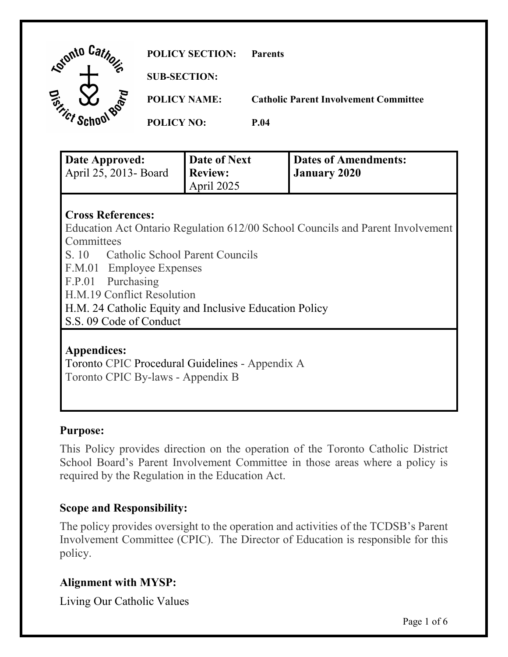| Lonto Car | <b>POLICY SECTION:</b> | <b>Parents</b>                               |
|-----------|------------------------|----------------------------------------------|
|           | <b>SUB-SECTION:</b>    |                                              |
|           | <b>POLICY NAME:</b>    | <b>Catholic Parent Involvement Committee</b> |
|           | <b>POLICY NO:</b>      | <b>P.04</b>                                  |

| Date Approved:         | Date of Next   | Dates of Amendments: |
|------------------------|----------------|----------------------|
| April 25, 2013 - Board | <b>Review:</b> | <b>January 2020</b>  |
|                        | April 2025     |                      |

### **Cross References:**

Education Act Ontario Regulation 612/00 School Councils and Parent Involvement **Committees** 

S. 10 Catholic School Parent Councils

F.M.01 Employee Expenses

F.P.01 Purchasing

H.M.19 Conflict Resolution

H.M. 24 Catholic Equity and Inclusive Education Policy

S.S. 09 Code of Conduct

## **Appendices:**

Toronto CPIC Procedural Guidelines - Appendix A Toronto CPIC By-laws - Appendix B

### **Purpose:**

This Policy provides direction on the operation of the Toronto Catholic District School Board's Parent Involvement Committee in those areas where a policy is required by the Regulation in the Education Act.

### **Scope and Responsibility:**

The policy provides oversight to the operation and activities of the TCDSB's Parent Involvement Committee (CPIC). The Director of Education is responsible for this policy.

## **Alignment with MYSP:**

Living Our Catholic Values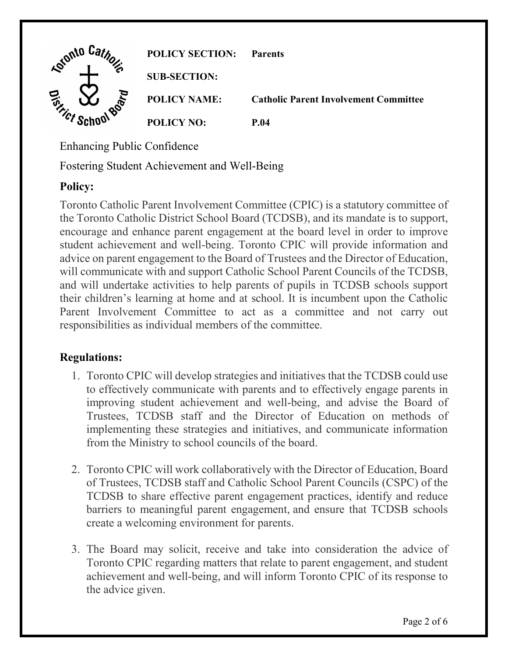

Enhancing Public Confidence

Fostering Student Achievement and Well-Being

# **Policy:**

Toronto Catholic Parent Involvement Committee (CPIC) is a statutory committee of the Toronto Catholic District School Board (TCDSB), and its mandate is to support, encourage and enhance parent engagement at the board level in order to improve student achievement and well-being. Toronto CPIC will provide information and advice on parent engagement to the Board of Trustees and the Director of Education, will communicate with and support Catholic School Parent Councils of the TCDSB, and will undertake activities to help parents of pupils in TCDSB schools support their children's learning at home and at school. It is incumbent upon the Catholic Parent Involvement Committee to act as a committee and not carry out responsibilities as individual members of the committee.

# **Regulations:**

- 1. Toronto CPIC will develop strategies and initiatives that the TCDSB could use to effectively communicate with parents and to effectively engage parents in improving student achievement and well-being, and advise the Board of Trustees, TCDSB staff and the Director of Education on methods of implementing these strategies and initiatives, and communicate information from the Ministry to school councils of the board.
- 2. Toronto CPIC will work collaboratively with the Director of Education, Board of Trustees, TCDSB staff and Catholic School Parent Councils (CSPC) of the TCDSB to share effective parent engagement practices, identify and reduce barriers to meaningful parent engagement, and ensure that TCDSB schools create a welcoming environment for parents.
- 3. The Board may solicit, receive and take into consideration the advice of Toronto CPIC regarding matters that relate to parent engagement, and student achievement and well-being, and will inform Toronto CPIC of its response to the advice given.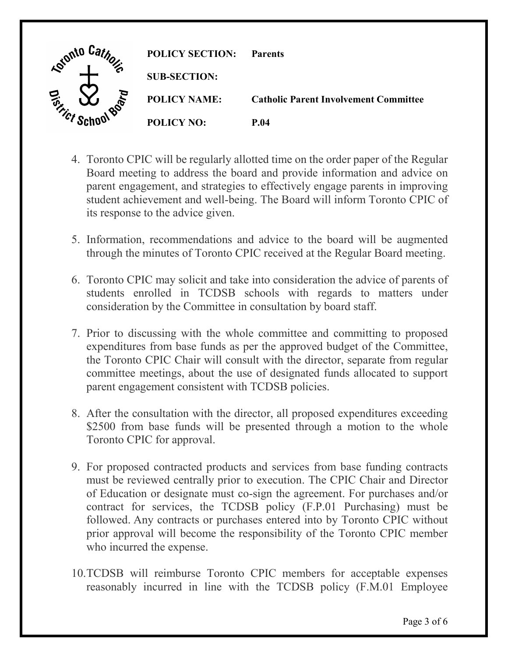

- 4. Toronto CPIC will be regularly allotted time on the order paper of the Regular Board meeting to address the board and provide information and advice on parent engagement, and strategies to effectively engage parents in improving student achievement and well-being. The Board will inform Toronto CPIC of its response to the advice given.
- 5. Information, recommendations and advice to the board will be augmented through the minutes of Toronto CPIC received at the Regular Board meeting.
- 6. Toronto CPIC may solicit and take into consideration the advice of parents of students enrolled in TCDSB schools with regards to matters under consideration by the Committee in consultation by board staff.
- 7. Prior to discussing with the whole committee and committing to proposed expenditures from base funds as per the approved budget of the Committee, the Toronto CPIC Chair will consult with the director, separate from regular committee meetings, about the use of designated funds allocated to support parent engagement consistent with TCDSB policies.
- 8. After the consultation with the director, all proposed expenditures exceeding \$2500 from base funds will be presented through a motion to the whole Toronto CPIC for approval.
- 9. For proposed contracted products and services from base funding contracts must be reviewed centrally prior to execution. The CPIC Chair and Director of Education or designate must co-sign the agreement. For purchases and/or contract for services, the TCDSB policy (F.P.01 Purchasing) must be followed. Any contracts or purchases entered into by Toronto CPIC without prior approval will become the responsibility of the Toronto CPIC member who incurred the expense.
- 10.TCDSB will reimburse Toronto CPIC members for acceptable expenses reasonably incurred in line with the TCDSB policy (F.M.01 Employee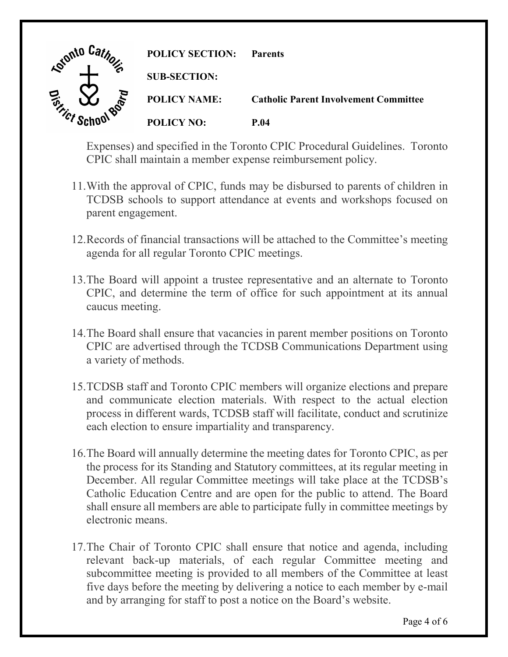

Expenses) and specified in the Toronto CPIC Procedural Guidelines. Toronto CPIC shall maintain a member expense reimbursement policy.

- 11.With the approval of CPIC, funds may be disbursed to parents of children in TCDSB schools to support attendance at events and workshops focused on parent engagement.
- 12.Records of financial transactions will be attached to the Committee's meeting agenda for all regular Toronto CPIC meetings.
- 13.The Board will appoint a trustee representative and an alternate to Toronto CPIC, and determine the term of office for such appointment at its annual caucus meeting.
- 14.The Board shall ensure that vacancies in parent member positions on Toronto CPIC are advertised through the TCDSB Communications Department using a variety of methods.
- 15.TCDSB staff and Toronto CPIC members will organize elections and prepare and communicate election materials. With respect to the actual election process in different wards, TCDSB staff will facilitate, conduct and scrutinize each election to ensure impartiality and transparency.
- 16.The Board will annually determine the meeting dates for Toronto CPIC, as per the process for its Standing and Statutory committees, at its regular meeting in December. All regular Committee meetings will take place at the TCDSB's Catholic Education Centre and are open for the public to attend. The Board shall ensure all members are able to participate fully in committee meetings by electronic means.
- 17.The Chair of Toronto CPIC shall ensure that notice and agenda, including relevant back-up materials, of each regular Committee meeting and subcommittee meeting is provided to all members of the Committee at least five days before the meeting by delivering a notice to each member by e-mail and by arranging for staff to post a notice on the Board's website.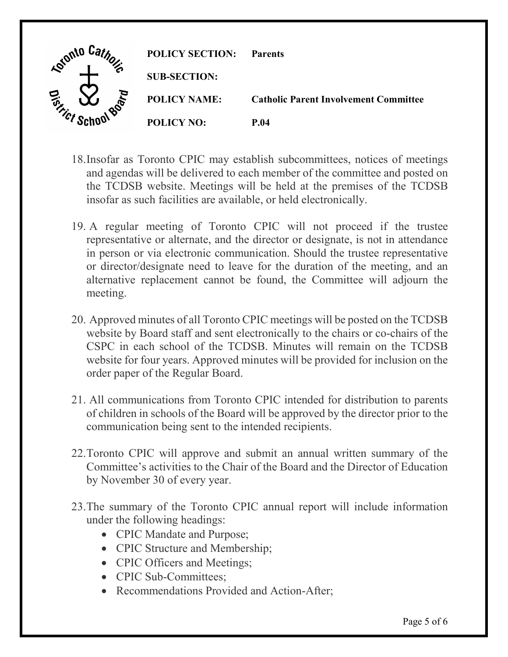

- 18.Insofar as Toronto CPIC may establish subcommittees, notices of meetings and agendas will be delivered to each member of the committee and posted on the TCDSB website. Meetings will be held at the premises of the TCDSB insofar as such facilities are available, or held electronically.
- 19. A regular meeting of Toronto CPIC will not proceed if the trustee representative or alternate, and the director or designate, is not in attendance in person or via electronic communication. Should the trustee representative or director/designate need to leave for the duration of the meeting, and an alternative replacement cannot be found, the Committee will adjourn the meeting.
- 20. Approved minutes of all Toronto CPIC meetings will be posted on the TCDSB website by Board staff and sent electronically to the chairs or co-chairs of the CSPC in each school of the TCDSB. Minutes will remain on the TCDSB website for four years. Approved minutes will be provided for inclusion on the order paper of the Regular Board.
- 21. All communications from Toronto CPIC intended for distribution to parents of children in schools of the Board will be approved by the director prior to the communication being sent to the intended recipients.
- 22.Toronto CPIC will approve and submit an annual written summary of the Committee's activities to the Chair of the Board and the Director of Education by November 30 of every year.
- 23.The summary of the Toronto CPIC annual report will include information under the following headings:
	- CPIC Mandate and Purpose;
	- CPIC Structure and Membership;
	- CPIC Officers and Meetings;
	- CPIC Sub-Committees:
	- Recommendations Provided and Action-After;